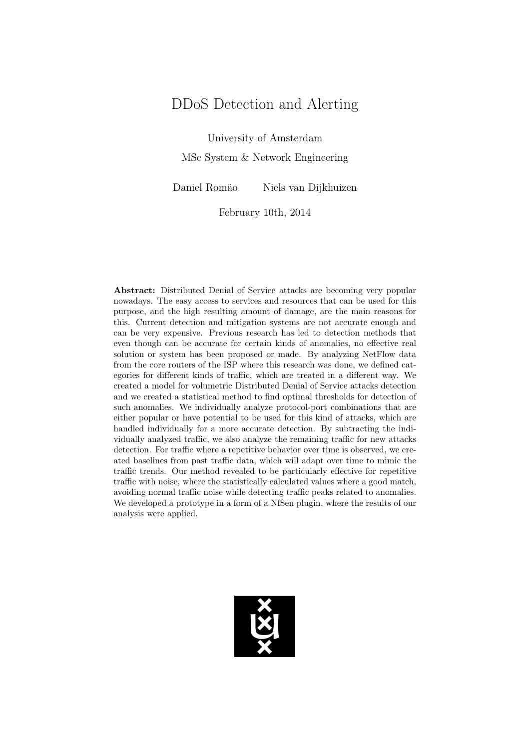# DDoS Detection and Alerting

University of Amsterdam

MSc System & Network Engineering

Daniel Romão Niels van Dijkhuizen

February 10th, 2014

Abstract: Distributed Denial of Service attacks are becoming very popular nowadays. The easy access to services and resources that can be used for this purpose, and the high resulting amount of damage, are the main reasons for this. Current detection and mitigation systems are not accurate enough and can be very expensive. Previous research has led to detection methods that even though can be accurate for certain kinds of anomalies, no effective real solution or system has been proposed or made. By analyzing NetFlow data from the core routers of the ISP where this research was done, we defined categories for different kinds of traffic, which are treated in a different way. We created a model for volumetric Distributed Denial of Service attacks detection and we created a statistical method to find optimal thresholds for detection of such anomalies. We individually analyze protocol-port combinations that are either popular or have potential to be used for this kind of attacks, which are handled individually for a more accurate detection. By subtracting the individually analyzed traffic, we also analyze the remaining traffic for new attacks detection. For traffic where a repetitive behavior over time is observed, we created baselines from past traffic data, which will adapt over time to mimic the traffic trends. Our method revealed to be particularly effective for repetitive traffic with noise, where the statistically calculated values where a good match, avoiding normal traffic noise while detecting traffic peaks related to anomalies. We developed a prototype in a form of a NfSen plugin, where the results of our analysis were applied.

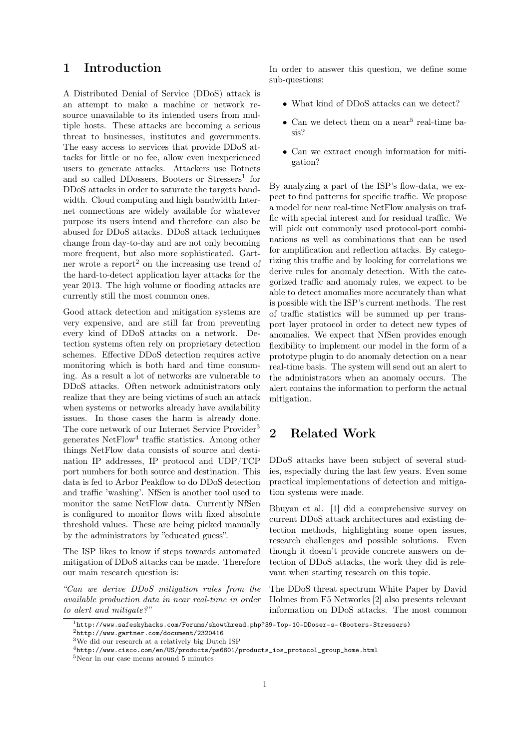# 1 Introduction

A Distributed Denial of Service (DDoS) attack is an attempt to make a machine or network resource unavailable to its intended users from multiple hosts. These attacks are becoming a serious threat to businesses, institutes and governments. The easy access to services that provide DDoS attacks for little or no fee, allow even inexperienced users to generate attacks. Attackers use Botnets and so called DDossers, Booters or Stressers<sup>[1](#page-1-0)</sup> for DDoS attacks in order to saturate the targets bandwidth. Cloud computing and high bandwidth Internet connections are widely available for whatever purpose its users intend and therefore can also be abused for DDoS attacks. DDoS attack techniques change from day-to-day and are not only becoming more frequent, but also more sophisticated. Gart-ner wrote a report<sup>[2](#page-1-1)</sup> on the increasing use trend of the hard-to-detect application layer attacks for the year 2013. The high volume or flooding attacks are currently still the most common ones.

Good attack detection and mitigation systems are very expensive, and are still far from preventing every kind of DDoS attacks on a network. Detection systems often rely on proprietary detection schemes. Effective DDoS detection requires active monitoring which is both hard and time consuming. As a result a lot of networks are vulnerable to DDoS attacks. Often network administrators only realize that they are being victims of such an attack when systems or networks already have availability issues. In those cases the harm is already done. The core network of our Internet Service Provider<sup>[3](#page-1-2)</sup> generates NetFlow[4](#page-1-3) traffic statistics. Among other things NetFlow data consists of source and destination IP addresses, IP protocol and UDP/TCP port numbers for both source and destination. This data is fed to Arbor Peakflow to do DDoS detection and traffic 'washing'. NfSen is another tool used to monitor the same NetFlow data. Currently NfSen is configured to monitor flows with fixed absolute threshold values. These are being picked manually by the administrators by "educated guess".

The ISP likes to know if steps towards automated mitigation of DDoS attacks can be made. Therefore our main research question is:

"Can we derive DDoS mitigation rules from the available production data in near real-time in order to alert and mitigate?"

In order to answer this question, we define some sub-questions:

- What kind of DDoS attacks can we detect?
- Can we detect them on a near<sup>[5](#page-1-4)</sup> real-time basis?
- Can we extract enough information for mitigation?

By analyzing a part of the ISP's flow-data, we expect to find patterns for specific traffic. We propose a model for near real-time NetFlow analysis on traffic with special interest and for residual traffic. We will pick out commonly used protocol-port combinations as well as combinations that can be used for amplification and reflection attacks. By categorizing this traffic and by looking for correlations we derive rules for anomaly detection. With the categorized traffic and anomaly rules, we expect to be able to detect anomalies more accurately than what is possible with the ISP's current methods. The rest of traffic statistics will be summed up per transport layer protocol in order to detect new types of anomalies. We expect that NfSen provides enough flexibility to implement our model in the form of a prototype plugin to do anomaly detection on a near real-time basis. The system will send out an alert to the administrators when an anomaly occurs. The alert contains the information to perform the actual mitigation.

## 2 Related Work

DDoS attacks have been subject of several studies, especially during the last few years. Even some practical implementations of detection and mitigation systems were made.

Bhuyan et al. [\[1\]](#page-9-0) did a comprehensive survey on current DDoS attack architectures and existing detection methods, highlighting some open issues, research challenges and possible solutions. Even though it doesn't provide concrete answers on detection of DDoS attacks, the work they did is relevant when starting research on this topic.

The DDoS threat spectrum White Paper by David Holmes from F5 Networks [\[2\]](#page-9-1) also presents relevant information on DDoS attacks. The most common

<span id="page-1-0"></span><sup>1</sup>[http://www.safeskyhacks.com/Forums/showthread.php?39-Top-10-DDoser-s-\(Booters-Stressers\)](http://www.safeskyhacks.com/Forums/showthread.php?39-Top-10-DDoser-s-(Booters-Stressers))

<span id="page-1-1"></span><sup>2</sup><http://www.gartner.com/document/2320416>

<span id="page-1-2"></span><sup>3</sup>We did our research at a relatively big Dutch ISP

<span id="page-1-3"></span><sup>4</sup>[http://www.cisco.com/en/US/products/ps6601/products\\_ios\\_protocol\\_group\\_home.html](http://www.cisco.com/en/US/products/ps6601/products_ios_protocol_group_home.html)

<span id="page-1-4"></span><sup>5</sup>Near in our case means around 5 minutes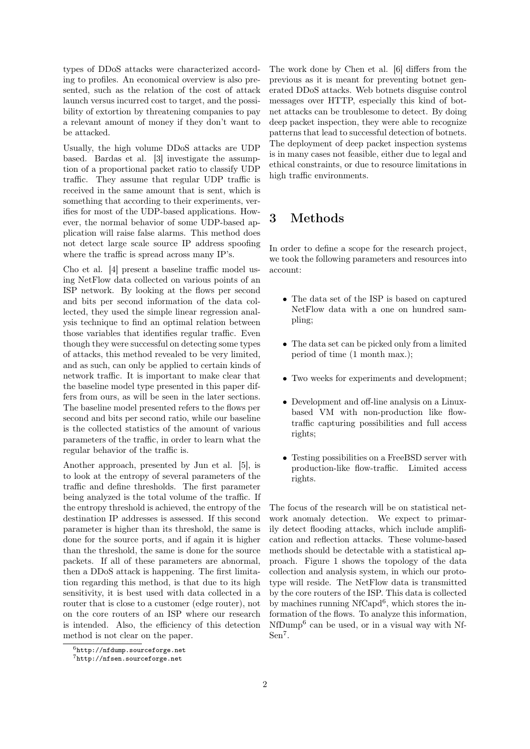types of DDoS attacks were characterized according to profiles. An economical overview is also presented, such as the relation of the cost of attack launch versus incurred cost to target, and the possibility of extortion by threatening companies to pay a relevant amount of money if they don't want to be attacked.

Usually, the high volume DDoS attacks are UDP based. Bardas et al. [\[3\]](#page-9-2) investigate the assumption of a proportional packet ratio to classify UDP traffic. They assume that regular UDP traffic is received in the same amount that is sent, which is something that according to their experiments, verifies for most of the UDP-based applications. However, the normal behavior of some UDP-based application will raise false alarms. This method does not detect large scale source IP address spoofing where the traffic is spread across many IP's.

Cho et al. [\[4\]](#page-9-3) present a baseline traffic model using NetFlow data collected on various points of an ISP network. By looking at the flows per second and bits per second information of the data collected, they used the simple linear regression analysis technique to find an optimal relation between those variables that identifies regular traffic. Even though they were successful on detecting some types of attacks, this method revealed to be very limited, and as such, can only be applied to certain kinds of network traffic. It is important to make clear that the baseline model type presented in this paper differs from ours, as will be seen in the later sections. The baseline model presented refers to the flows per second and bits per second ratio, while our baseline is the collected statistics of the amount of various parameters of the traffic, in order to learn what the regular behavior of the traffic is.

Another approach, presented by Jun et al. [\[5\]](#page-9-4), is to look at the entropy of several parameters of the traffic and define thresholds. The first parameter being analyzed is the total volume of the traffic. If the entropy threshold is achieved, the entropy of the destination IP addresses is assessed. If this second parameter is higher than its threshold, the same is done for the source ports, and if again it is higher than the threshold, the same is done for the source packets. If all of these parameters are abnormal, then a DDoS attack is happening. The first limitation regarding this method, is that due to its high sensitivity, it is best used with data collected in a router that is close to a customer (edge router), not on the core routers of an ISP where our research is intended. Also, the efficiency of this detection method is not clear on the paper.

The work done by Chen et al. [\[6\]](#page-9-5) differs from the previous as it is meant for preventing botnet generated DDoS attacks. Web botnets disguise control messages over HTTP, especially this kind of botnet attacks can be troublesome to detect. By doing deep packet inspection, they were able to recognize patterns that lead to successful detection of botnets. The deployment of deep packet inspection systems is in many cases not feasible, either due to legal and ethical constraints, or due to resource limitations in high traffic environments.

# 3 Methods

In order to define a scope for the research project, we took the following parameters and resources into account:

- The data set of the ISP is based on captured NetFlow data with a one on hundred sampling;
- The data set can be picked only from a limited period of time (1 month max.);
- Two weeks for experiments and development;
- Development and off-line analysis on a Linuxbased VM with non-production like flowtraffic capturing possibilities and full access rights;
- Testing possibilities on a FreeBSD server with production-like flow-traffic. Limited access rights.

The focus of the research will be on statistical network anomaly detection. We expect to primarily detect flooding attacks, which include amplification and reflection attacks. These volume-based methods should be detectable with a statistical approach. Figure [1](#page-3-0) shows the topology of the data collection and analysis system, in which our prototype will reside. The NetFlow data is transmitted by the core routers of the ISP. This data is collected by machines running NfCapd<sup>[6](#page-2-0)</sup>, which stores the information of the flows. To analyze this information, NfDump<sup>6</sup> can be used, or in a visual way with Nf-Sen[7](#page-2-1) .

<span id="page-2-0"></span> $6$ <http://nfdump.sourceforge.net>

<span id="page-2-1"></span><sup>7</sup><http://nfsen.sourceforge.net>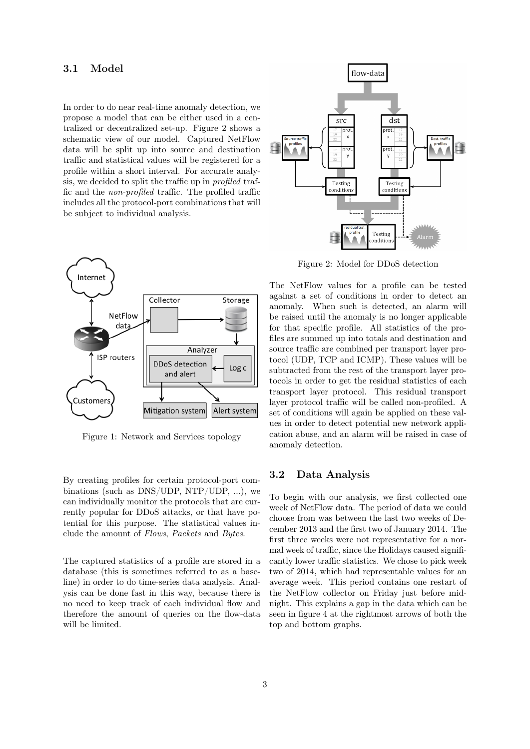#### 3.1 Model

In order to do near real-time anomaly detection, we propose a model that can be either used in a centralized or decentralized set-up. Figure [2](#page-3-1) shows a schematic view of our model. Captured NetFlow data will be split up into source and destination traffic and statistical values will be registered for a profile within a short interval. For accurate analysis, we decided to split the traffic up in profiled traffic and the non-profiled traffic. The profiled traffic includes all the protocol-port combinations that will be subject to individual analysis.



<span id="page-3-0"></span>Figure 1: Network and Services topology

By creating profiles for certain protocol-port combinations (such as DNS/UDP, NTP/UDP, ...), we can individually monitor the protocols that are currently popular for DDoS attacks, or that have potential for this purpose. The statistical values include the amount of Flows, Packets and Bytes.

The captured statistics of a profile are stored in a database (this is sometimes referred to as a baseline) in order to do time-series data analysis. Analysis can be done fast in this way, because there is no need to keep track of each individual flow and therefore the amount of queries on the flow-data will be limited.



<span id="page-3-1"></span>Figure 2: Model for DDoS detection

The NetFlow values for a profile can be tested against a set of conditions in order to detect an anomaly. When such is detected, an alarm will be raised until the anomaly is no longer applicable for that specific profile. All statistics of the profiles are summed up into totals and destination and source traffic are combined per transport layer protocol (UDP, TCP and ICMP). These values will be subtracted from the rest of the transport layer protocols in order to get the residual statistics of each transport layer protocol. This residual transport layer protocol traffic will be called non-profiled. A set of conditions will again be applied on these values in order to detect potential new network application abuse, and an alarm will be raised in case of anomaly detection.

#### 3.2 Data Analysis

To begin with our analysis, we first collected one week of NetFlow data. The period of data we could choose from was between the last two weeks of December 2013 and the first two of January 2014. The first three weeks were not representative for a normal week of traffic, since the Holidays caused significantly lower traffic statistics. We chose to pick week two of 2014, which had representable values for an average week. This period contains one restart of the NetFlow collector on Friday just before midnight. This explains a gap in the data which can be seen in figure [4](#page-6-0) at the rightmost arrows of both the top and bottom graphs.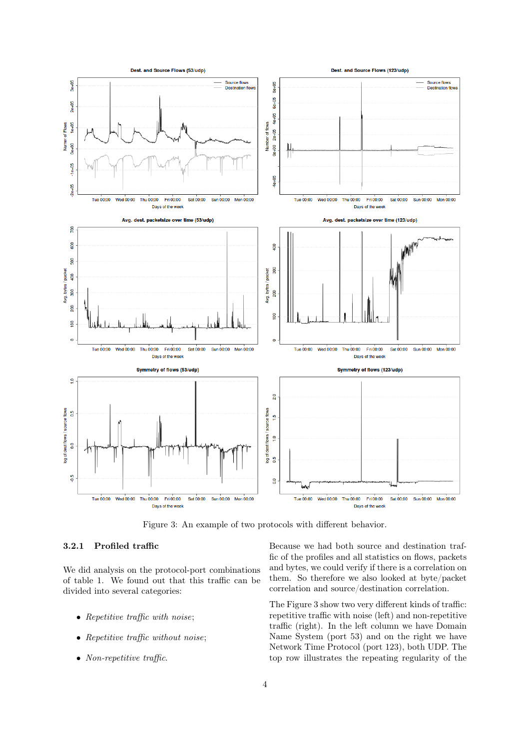

<span id="page-4-0"></span>Figure 3: An example of two protocols with different behavior.

#### 3.2.1 Profiled traffic

We did analysis on the protocol-port combinations of table [1.](#page-8-0) We found out that this traffic can be divided into several categories:

- Repetitive traffic with noise;
- Repetitive traffic without noise;
- Non-repetitive traffic.

Because we had both source and destination traffic of the profiles and all statistics on flows, packets and bytes, we could verify if there is a correlation on them. So therefore we also looked at byte/packet correlation and source/destination correlation.

The Figure [3](#page-4-0) show two very different kinds of traffic: repetitive traffic with noise (left) and non-repetitive traffic (right). In the left column we have Domain Name System (port 53) and on the right we have Network Time Protocol (port 123), both UDP. The top row illustrates the repeating regularity of the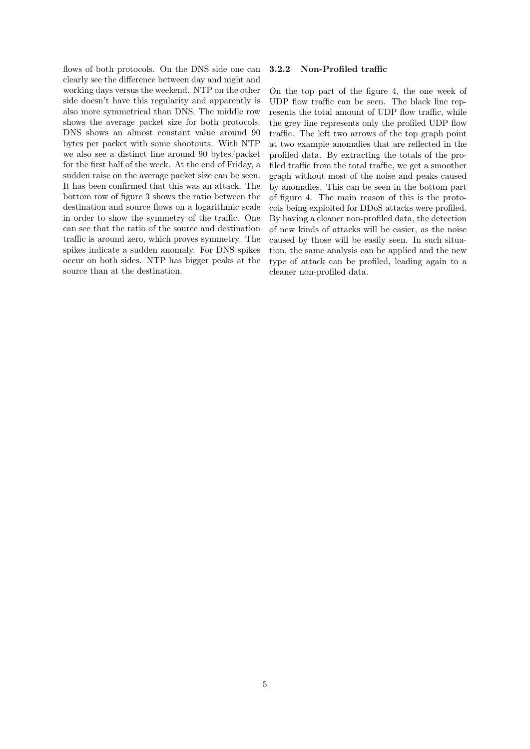flows of both protocols. On the DNS side one can clearly see the difference between day and night and working days versus the weekend. NTP on the other side doesn't have this regularity and apparently is also more symmetrical than DNS. The middle row shows the average packet size for both protocols. DNS shows an almost constant value around 90 bytes per packet with some shootouts. With NTP we also see a distinct line around 90 bytes/packet for the first half of the week. At the end of Friday, a sudden raise on the average packet size can be seen. It has been confirmed that this was an attack. The bottom row of figure [3](#page-4-0) shows the ratio between the destination and source flows on a logarithmic scale in order to show the symmetry of the traffic. One can see that the ratio of the source and destination traffic is around zero, which proves symmetry. The spikes indicate a sudden anomaly. For DNS spikes occur on both sides. NTP has bigger peaks at the source than at the destination.

#### 3.2.2 Non-Profiled traffic

On the top part of the figure [4,](#page-6-0) the one week of UDP flow traffic can be seen. The black line represents the total amount of UDP flow traffic, while the grey line represents only the profiled UDP flow traffic. The left two arrows of the top graph point at two example anomalies that are reflected in the profiled data. By extracting the totals of the profiled traffic from the total traffic, we get a smoother graph without most of the noise and peaks caused by anomalies. This can be seen in the bottom part of figure [4.](#page-6-0) The main reason of this is the protocols being exploited for DDoS attacks were profiled. By having a cleaner non-profiled data, the detection of new kinds of attacks will be easier, as the noise caused by those will be easily seen. In such situation, the same analysis can be applied and the new type of attack can be profiled, leading again to a cleaner non-profiled data.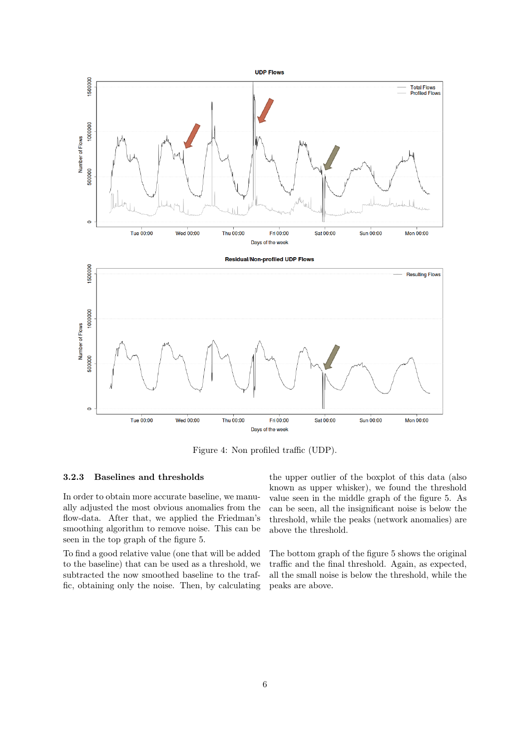

<span id="page-6-0"></span>Figure 4: Non profiled traffic (UDP).

#### 3.2.3 Baselines and thresholds

In order to obtain more accurate baseline, we manually adjusted the most obvious anomalies from the flow-data. After that, we applied the Friedman's smoothing algorithm to remove noise. This can be seen in the top graph of the figure [5.](#page-7-0)

To find a good relative value (one that will be added to the baseline) that can be used as a threshold, we subtracted the now smoothed baseline to the traffic, obtaining only the noise. Then, by calculating the upper outlier of the boxplot of this data (also known as upper whisker), we found the threshold value seen in the middle graph of the figure [5.](#page-7-0) As can be seen, all the insignificant noise is below the threshold, while the peaks (network anomalies) are above the threshold.

The bottom graph of the figure [5](#page-7-0) shows the original traffic and the final threshold. Again, as expected, all the small noise is below the threshold, while the peaks are above.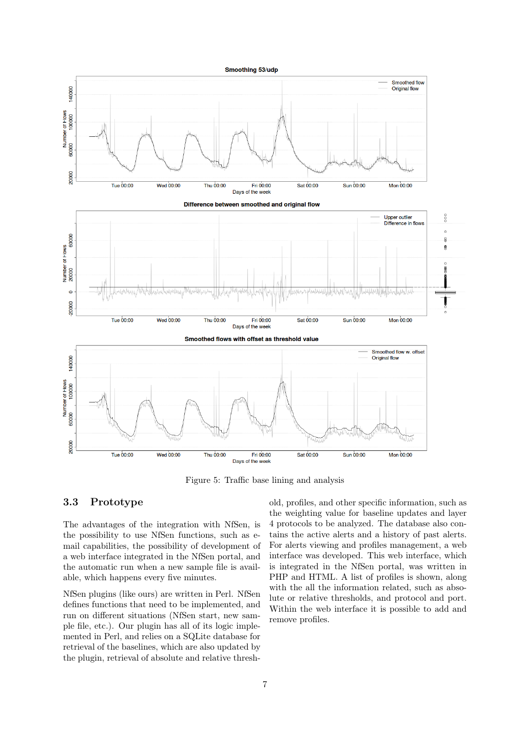

<span id="page-7-0"></span>Figure 5: Traffic base lining and analysis

### 3.3 Prototype

The advantages of the integration with NfSen, is the possibility to use NfSen functions, such as email capabilities, the possibility of development of a web interface integrated in the NfSen portal, and the automatic run when a new sample file is available, which happens every five minutes.

NfSen plugins (like ours) are written in Perl. NfSen defines functions that need to be implemented, and run on different situations (NfSen start, new sample file, etc.). Our plugin has all of its logic implemented in Perl, and relies on a SQLite database for retrieval of the baselines, which are also updated by the plugin, retrieval of absolute and relative threshold, profiles, and other specific information, such as the weighting value for baseline updates and layer 4 protocols to be analyzed. The database also contains the active alerts and a history of past alerts. For alerts viewing and profiles management, a web interface was developed. This web interface, which is integrated in the NfSen portal, was written in PHP and HTML. A list of profiles is shown, along with the all the information related, such as absolute or relative thresholds, and protocol and port. Within the web interface it is possible to add and remove profiles.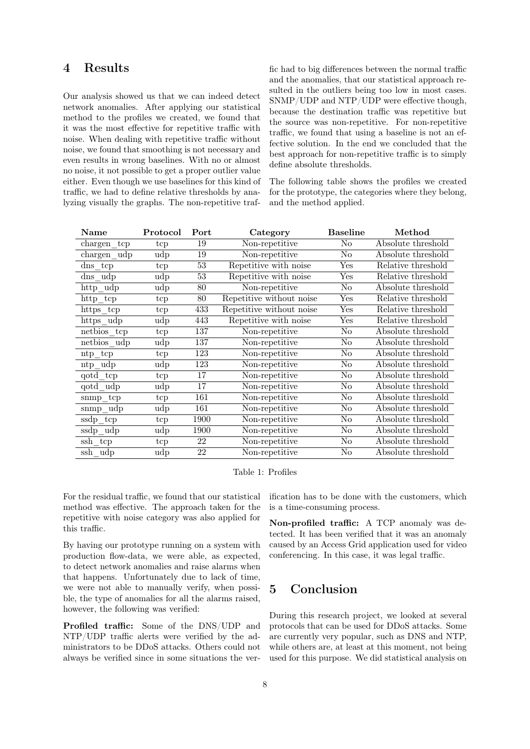### 4 Results

Our analysis showed us that we can indeed detect network anomalies. After applying our statistical method to the profiles we created, we found that it was the most effective for repetitive traffic with noise. When dealing with repetitive traffic without noise, we found that smoothing is not necessary and even results in wrong baselines. With no or almost no noise, it not possible to get a proper outlier value either. Even though we use baselines for this kind of traffic, we had to define relative thresholds by analyzing visually the graphs. The non-repetitive traffic had to big differences between the normal traffic and the anomalies, that our statistical approach resulted in the outliers being too low in most cases. SNMP/UDP and NTP/UDP were effective though, because the destination traffic was repetitive but the source was non-repetitive. For non-repetitive traffic, we found that using a baseline is not an effective solution. In the end we concluded that the best approach for non-repetitive traffic is to simply define absolute thresholds.

The following table shows the profiles we created for the prototype, the categories where they belong, and the method applied.

<span id="page-8-0"></span>

| Name        | Protocol | Port | Category                 | <b>Baseline</b> | Method             |
|-------------|----------|------|--------------------------|-----------------|--------------------|
| chargen tcp | tcp      | 19   | Non-repetitive           | N <sub>o</sub>  | Absolute threshold |
| chargen udp | udp      | 19   | Non-repetitive           | No              | Absolute threshold |
| dns tcp     | tcp      | 53   | Repetitive with noise    | Yes             | Relative threshold |
| dns udp     | udp      | 53   | Repetitive with noise    | Yes             | Relative threshold |
| http udp    | udp      | 80   | Non-repetitive           | No              | Absolute threshold |
| http tcp    | tcp      | 80   | Repetitive without noise | Yes             | Relative threshold |
| https tcp   | tcp      | 433  | Repetitive without noise | Yes             | Relative threshold |
| https udp   | udp      | 443  | Repetitive with noise    | Yes             | Relative threshold |
| netbios tcp | tcp      | 137  | Non-repetitive           | No              | Absolute threshold |
| netbios udp | udp      | 137  | Non-repetitive           | No              | Absolute threshold |
| ntp tcp     | tcp      | 123  | Non-repetitive           | $\rm No$        | Absolute threshold |
| ntp udp     | udp      | 123  | Non-repetitive           | No              | Absolute threshold |
| qotd tcp    | tcp      | 17   | Non-repetitive           | No              | Absolute threshold |
| qotd udp    | udp      | 17   | Non-repetitive           | No              | Absolute threshold |
| snmp tcp    | tcp      | 161  | Non-repetitive           | No              | Absolute threshold |
| snmp udp    | udp      | 161  | Non-repetitive           | No              | Absolute threshold |
| ssdp tcp    | tcp      | 1900 | Non-repetitive           | No              | Absolute threshold |
| ssdp udp    | udp      | 1900 | Non-repetitive           | No              | Absolute threshold |
| ssh tcp     | tcp      | 22   | Non-repetitive           | No              | Absolute threshold |
| ssh udp     | udp      | 22   | Non-repetitive           | $\rm No$        | Absolute threshold |

Table 1: Profiles

For the residual traffic, we found that our statistical method was effective. The approach taken for the repetitive with noise category was also applied for this traffic.

By having our prototype running on a system with production flow-data, we were able, as expected, to detect network anomalies and raise alarms when that happens. Unfortunately due to lack of time, we were not able to manually verify, when possible, the type of anomalies for all the alarms raised, however, the following was verified:

Profiled traffic: Some of the DNS/UDP and NTP/UDP traffic alerts were verified by the administrators to be DDoS attacks. Others could not always be verified since in some situations the verification has to be done with the customers, which is a time-consuming process.

Non-profiled traffic: A TCP anomaly was detected. It has been verified that it was an anomaly caused by an Access Grid application used for video conferencing. In this case, it was legal traffic.

## 5 Conclusion

During this research project, we looked at several protocols that can be used for DDoS attacks. Some are currently very popular, such as DNS and NTP, while others are, at least at this moment, not being used for this purpose. We did statistical analysis on